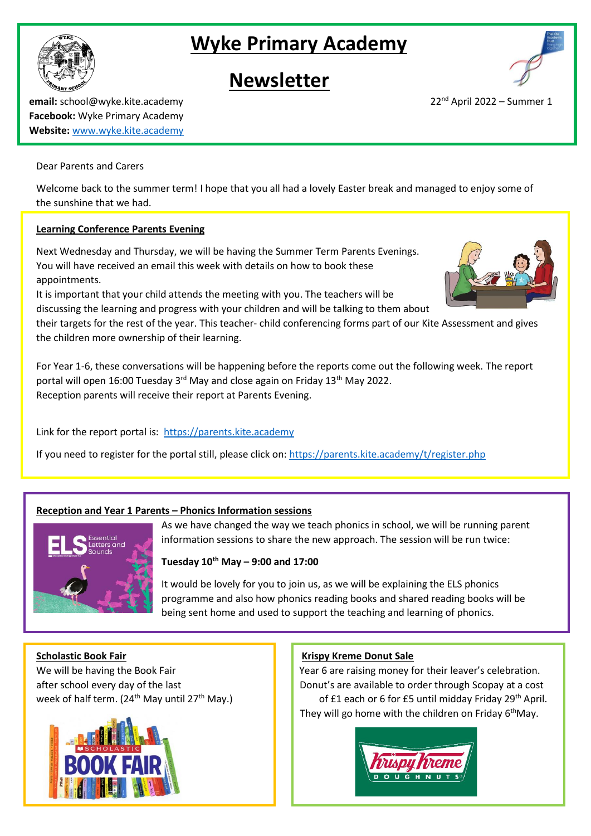# **Wyke Primary Academy**

## **Newsletter**

**email:** school@wyke.kite.academy 22<sup>nd</sup> April 2022 – Summer 1 **Facebook:** Wyke Primary Academy **Website:** [www.wyke.kite.academy](http://www.wyke.kite.academy/)

#### Dear Parents and Carers

Welcome back to the summer term! I hope that you all had a lovely Easter break and managed to enjoy some of the sunshine that we had.

### **Learning Conference Parents Evening**

Next Wednesday and Thursday, we will be having the Summer Term Parents Evenings. You will have received an email this week with details on how to book these appointments.

It is important that your child attends the meeting with you. The teachers will be discussing the learning and progress with your children and will be talking to them about

their targets for the rest of the year. This teacher- child conferencing forms part of our Kite Assessment and gives the children more ownership of their learning.

For Year 1-6, these conversations will be happening before the reports come out the following week. The report portal will open 16:00 Tuesday 3<sup>rd</sup> May and close again on Friday 13<sup>th</sup> May 2022. Reception parents will receive their report at Parents Evening.

Link for the report portal is: [https://parents.kite.academy](https://parents.kite.academy/)

If you need to register for the portal still, please click on: <https://parents.kite.academy/t/register.php>

### **Reception and Year 1 Parents – Phonics Information sessions**

As we have changed the way we teach phonics in school, we will be running parent information sessions to share the new approach. The session will be run twice:

#### **Tuesday 10th May – 9:00 and 17:00**

It would be lovely for you to join us, as we will be explaining the ELS phonics programme and also how phonics reading books and shared reading books will be being sent home and used to support the teaching and learning of phonics.

**Scholastic Book Fair Community Community Community Community Community Community Community Community Community Community Community Community Community Community Community Community Community Community Community Community** 

We will be having the Book Fair  $\parallel$  Year 6 are raising money for their leaver's celebration. after school every day of the last **Donut's are available to order through Scopay at a cost** week of half term. (24<sup>th</sup> May until 27<sup>th</sup> May.) of £1 each or 6 for £5 until midday Friday 29<sup>th</sup> April. They will go home with the children on Friday 6<sup>th</sup>May.